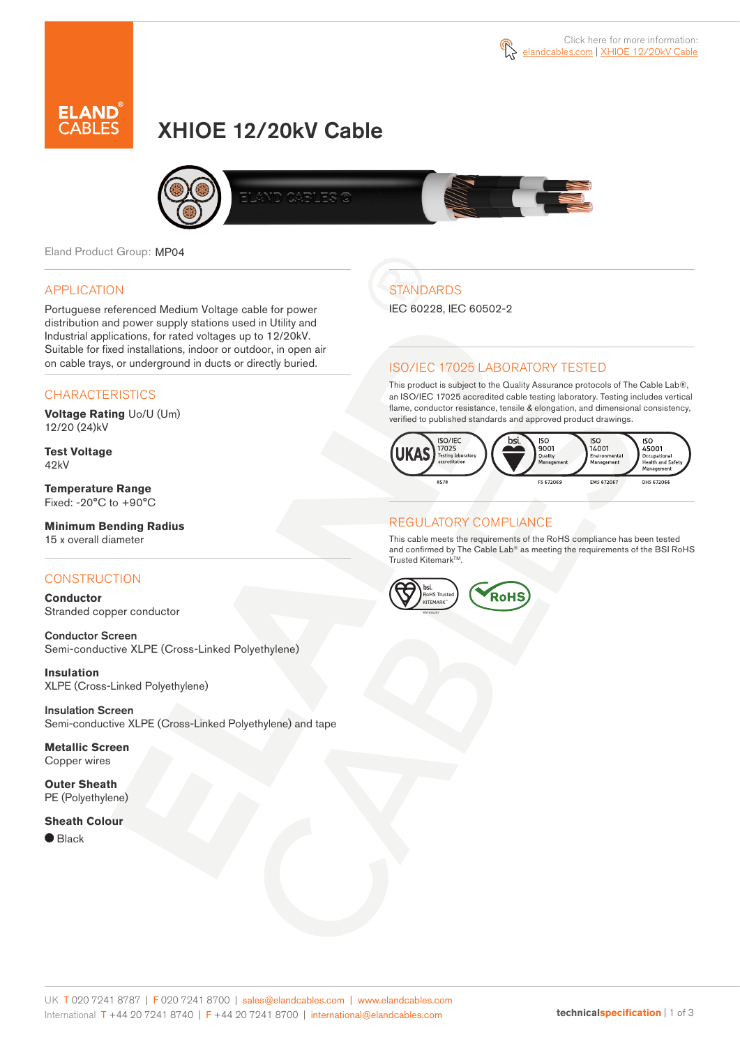



# XHIOE 12/20kV Cable



Eland Product Group: MP04

### APPLICATION

Portuguese referenced Medium Voltage cable for power distribution and power supply stations used in Utility and Industrial applications, for rated voltages up to 12/20kV. Suitable for fixed installations, indoor or outdoor, in open air on cable trays, or underground in ducts or directly buried.

### **CHARACTERISTICS**

**Voltage Rating** Uo/U (Um) 12/20 (24)kV

**Test Voltage** 42kV

**Temperature Range** Fixed: -20°C to +90°C

## **Minimum Bending Radius**

15 x overall diameter

### **CONSTRUCTION**

**Conductor** Stranded copper conductor

Conductor Screen Semi-conductive XLPE (Cross-Linked Polyethylene)

**Insulation** XLPE (Cross-Linked Polyethylene)

Insulation Screen Semi-conductive XLPE (Cross-Linked Polyethylene) and tape

**Metallic Screen** Copper wires

**Outer Sheath** PE (Polyethylene)

#### **Sheath Colour**

 $\bullet$  Black

## **STANDARDS**

IEC 60228, IEC 60502-2

### ISO/IEC 17025 LABORATORY TESTED

This product is subject to the Quality Assurance protocols of The Cable Lab®, an ISO/IEC 17025 accredited cable testing laboratory. Testing includes vertical flame, conductor resistance, tensile & elongation, and dimensional consistency, verified to published standards and approved product drawings.



### REGULATORY COMPLIANCE

This cable meets the requirements of the RoHS compliance has been tested and confirmed by The Cable Lab® as meeting the requirements of the BSI RoHS Trusted Kitemark™.

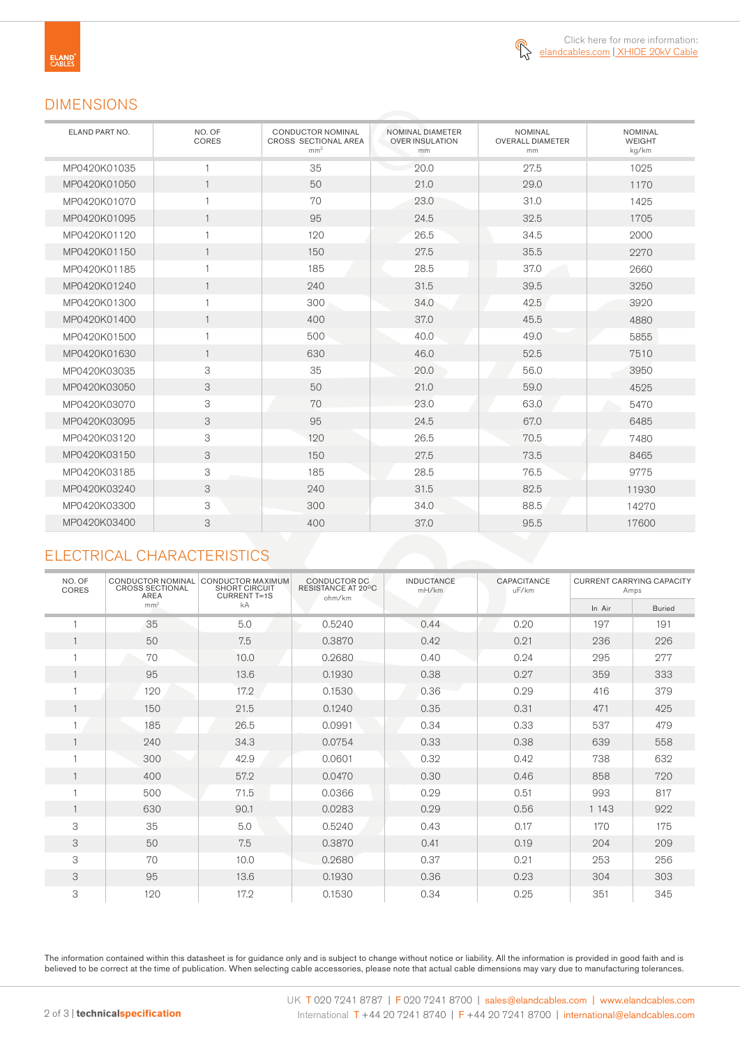

## DIMENSIONS

| ELAND PART NO. | NO. OF<br>CORES | <b>CONDUCTOR NOMINAL</b><br>CROSS SECTIONAL AREA<br>mm <sup>2</sup> | NOMINAL DIAMETER<br><b>OVER INSULATION</b><br>mm | <b>NOMINAL</b><br><b>OVERALL DIAMETER</b><br>mm | <b>NOMINAL</b><br>WEIGHT<br>kg/km |
|----------------|-----------------|---------------------------------------------------------------------|--------------------------------------------------|-------------------------------------------------|-----------------------------------|
| MP0420K01035   | 1               | 35                                                                  | 20.0                                             | 27.5                                            | 1025                              |
| MP0420K01050   | $\mathbf{1}$    | 50                                                                  | 21.0                                             | 29.0                                            | 1170                              |
| MP0420K01070   | 1               | 70                                                                  | 23.0                                             | 31.0                                            | 1425                              |
| MP0420K01095   | $\mathbf{1}$    | 95                                                                  | 24.5                                             | 32.5                                            | 1705                              |
| MP0420K01120   | $\mathbf{1}$    | 120                                                                 | 26.5                                             | 34.5                                            | 2000                              |
| MP0420K01150   | $\mathbf{1}$    | 150                                                                 | 27.5                                             | 35.5                                            | 2270                              |
| MP0420K01185   | $\mathbf{1}$    | 185                                                                 | 28.5                                             | 37.0                                            | 2660                              |
| MP0420K01240   | $\mathbf{1}$    | 240                                                                 | 31.5                                             | 39.5                                            | 3250                              |
| MP0420K01300   | 1               | 300                                                                 | 34.0                                             | 42.5                                            | 3920                              |
| MP0420K01400   | $\mathbf{1}$    | 400                                                                 | 37.0                                             | 45.5                                            | 4880                              |
| MP0420K01500   | 1               | 500                                                                 | 40.0                                             | 49.0                                            | 5855                              |
| MP0420K01630   | $\mathbf{1}$    | 630                                                                 | 46.0                                             | 52.5                                            | 7510                              |
| MP0420K03035   | 3               | 35                                                                  | 20.0                                             | 56.0                                            | 3950                              |
| MP0420K03050   | 3               | 50                                                                  | 21.0                                             | 59.0                                            | 4525                              |
| MP0420K03070   | 3               | 70                                                                  | 23.0                                             | 63.0                                            | 5470                              |
| MP0420K03095   | 3               | 95                                                                  | 24.5                                             | 67.0                                            | 6485                              |
| MP0420K03120   | 3               | 120                                                                 | 26.5                                             | 70.5                                            | 7480                              |
| MP0420K03150   | 3               | 150                                                                 | 27.5                                             | 73.5                                            | 8465                              |
| MP0420K03185   | 3               | 185                                                                 | 28.5                                             | 76.5                                            | 9775                              |
| MP0420K03240   | 3               | 240                                                                 | 31.5                                             | 82.5                                            | 11930                             |
| MP0420K03300   | 3               | 300                                                                 | 34.0                                             | 88.5                                            | 14270                             |
| MP0420K03400   | 3               | 400                                                                 | 37.0                                             | 95.5                                            | 17600                             |

## ELECTRICAL CHARACTERISTICS

| NO. OF<br>CORES | CONDUCTOR NOMINAL<br><b>CROSS SECTIONAL</b><br><b>AREA</b> | CONDUCTOR MAXIMUM<br><b>SHORT CIRCUIT</b><br><b>CURRENT T=1S</b> | CONDUCTOR DC<br>RESISTANCE AT 20°C<br>ohm/km | <b>INDUCTANCE</b><br>mH/km | CAPACITANCE<br>uF/km | <b>CURRENT CARRYING CAPACITY</b><br>Amps |               |
|-----------------|------------------------------------------------------------|------------------------------------------------------------------|----------------------------------------------|----------------------------|----------------------|------------------------------------------|---------------|
|                 | mm <sup>2</sup>                                            | kA                                                               |                                              |                            |                      | In Air                                   | <b>Buried</b> |
|                 | 35                                                         | 5.0                                                              | 0.5240                                       | 0.44                       | 0.20                 | 197                                      | 191           |
|                 | 50                                                         | 7.5                                                              | 0.3870                                       | 0.42                       | 0.21                 | 236                                      | 226           |
|                 | 70                                                         | 10.0                                                             | 0.2680                                       | 0.40                       | 0.24                 | 295                                      | 277           |
|                 | 95                                                         | 13.6                                                             | 0.1930                                       | 0.38                       | 0.27                 | 359                                      | 333           |
|                 | 120                                                        | 17.2                                                             | 0.1530                                       | 0.36                       | 0.29                 | 416                                      | 379           |
|                 | 150                                                        | 21.5                                                             | 0.1240                                       | 0.35                       | 0.31                 | 471                                      | 425           |
|                 | 185                                                        | 26.5                                                             | 0.0991                                       | 0.34                       | 0.33                 | 537                                      | 479           |
|                 | 240                                                        | 34.3                                                             | 0.0754                                       | 0.33                       | 0.38                 | 639                                      | 558           |
|                 | 300                                                        | 42.9                                                             | 0.0601                                       | 0.32                       | 0.42                 | 738                                      | 632           |
|                 | 400                                                        | 57.2                                                             | 0.0470                                       | 0.30                       | 0.46                 | 858                                      | 720           |
|                 | 500                                                        | 71.5                                                             | 0.0366                                       | 0.29                       | 0.51                 | 993                                      | 817           |
|                 | 630                                                        | 90.1                                                             | 0.0283                                       | 0.29                       | 0.56                 | 1 1 4 3                                  | 922           |
| 3               | 35                                                         | 5.0                                                              | 0.5240                                       | 0.43                       | 0.17                 | 170                                      | 175           |
| 3               | 50                                                         | 7.5                                                              | 0.3870                                       | 0.41                       | 0.19                 | 204                                      | 209           |
| 3               | 70                                                         | 10.0                                                             | 0.2680                                       | 0.37                       | 0.21                 | 253                                      | 256           |
| 3               | 95                                                         | 13.6                                                             | 0.1930                                       | 0.36                       | 0.23                 | 304                                      | 303           |
| 3               | 120                                                        | 17.2                                                             | 0.1530                                       | 0.34                       | 0.25                 | 351                                      | 345           |

The information contained within this datasheet is for guidance only and is subject to change without notice or liability. All the information is provided in good faith and is believed to be correct at the time of publication. When selecting cable accessories, please note that actual cable dimensions may vary due to manufacturing tolerances.